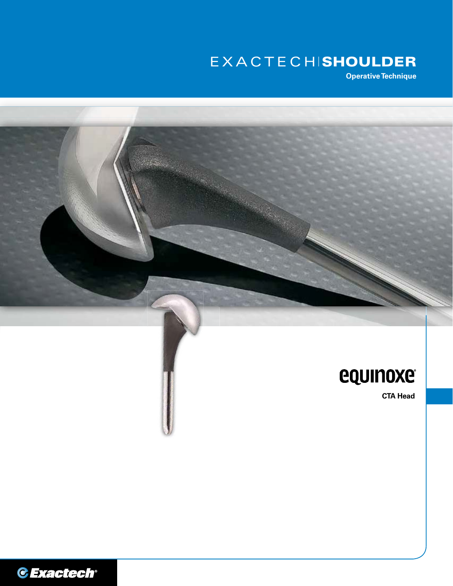# EXACTECHISHOULDER

**Operative Technique**

# equinoxe®

**CTA Head**

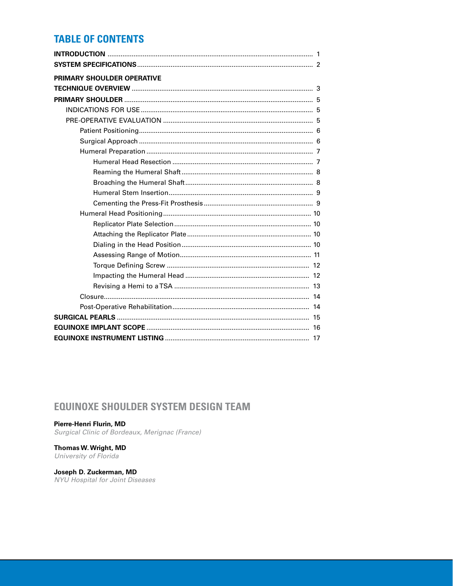# **TABLE OF CONTENTS**

| PRIMARY SHOULDER OPERATIVE |  |
|----------------------------|--|
|                            |  |
|                            |  |
|                            |  |
|                            |  |
|                            |  |
|                            |  |
|                            |  |
|                            |  |
|                            |  |
|                            |  |
|                            |  |
|                            |  |
|                            |  |
|                            |  |
|                            |  |
|                            |  |
|                            |  |
|                            |  |
|                            |  |
|                            |  |
|                            |  |
|                            |  |
|                            |  |
|                            |  |
|                            |  |

# **EQUINOXE SHOULDER SYSTEM DESIGN TEAM**

Pierre-Henri Flurin, MD Surgical Clinic of Bordeaux, Merignac (France)

Thomas W. Wright, MD University of Florida

Joseph D. Zuckerman, MD NYU Hospital for Joint Diseases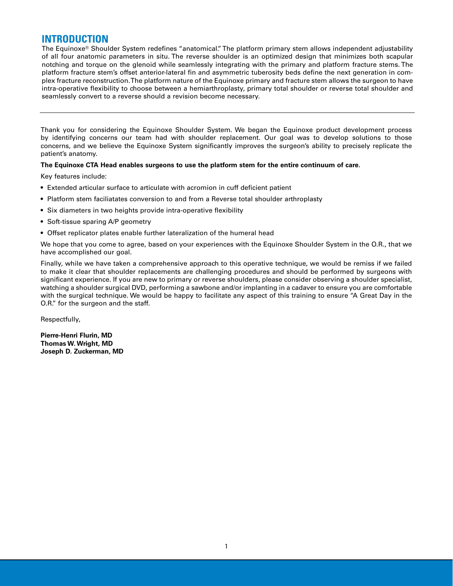### **INTRODUCTION**

The Equinoxe® Shoulder System redefines "anatomical." The platform primary stem allows independent adjustability of all four anatomic parameters in situ. The reverse shoulder is an optimized design that minimizes both scapular notching and torque on the glenoid while seamlessly integrating with the primary and platform fracture stems. The platform fracture stem's offset anterior-lateral fin and asymmetric tuberosity beds define the next generation in complex fracture reconstruction. The platform nature of the Equinoxe primary and fracture stem allows the surgeon to have intra-operative flexibility to choose between a hemiarthroplasty, primary total shoulder or reverse total shoulder and seamlessly convert to a reverse should a revision become necessary.

Thank you for considering the Equinoxe Shoulder System. We began the Equinoxe product development process by identifying concerns our team had with shoulder replacement. Our goal was to develop solutions to those concerns, and we believe the Equinoxe System significantly improves the surgeon's ability to precisely replicate the patient's anatomy.

#### **The Equinoxe CTA Head enables surgeons to use the platform stem for the entire continuum of care.**

Key features include:

- Extended articular surface to articulate with acromion in cuff deficient patient
- Platform stem faciliatates conversion to and from a Reverse total shoulder arthroplasty
- Six diameters in two heights provide intra-operative flexibility
- Soft-tissue sparing A/P geometry
- Offset replicator plates enable further lateralization of the humeral head

We hope that you come to agree, based on your experiences with the Equinoxe Shoulder System in the O.R., that we have accomplished our goal.

Finally, while we have taken a comprehensive approach to this operative technique, we would be remiss if we failed to make it clear that shoulder replacements are challenging procedures and should be performed by surgeons with significant experience. If you are new to primary or reverse shoulders, please consider observing a shoulder specialist, watching a shoulder surgical DVD, performing a sawbone and/or implanting in a cadaver to ensure you are comfortable with the surgical technique. We would be happy to facilitate any aspect of this training to ensure "A Great Day in the O.R." for the surgeon and the staff.

Respectfully,

**Pierre-Henri Flurin, MD Thomas W. Wright, MD Joseph D. Zuckerman, MD**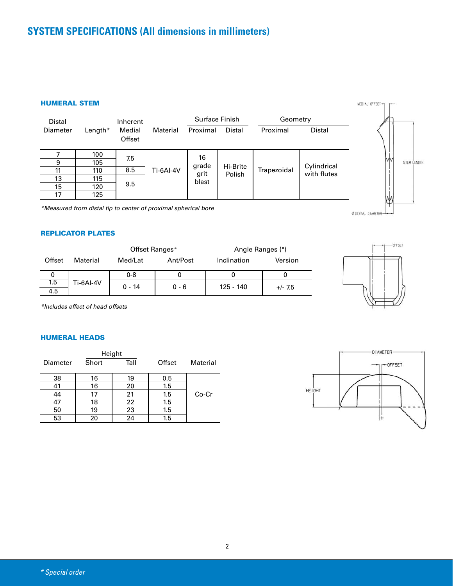# **SYSTEM SPECIFICATIONS (All dimensions in millimeters)**

|    | 100 | 7.5 |           | 16    |                    |   |
|----|-----|-----|-----------|-------|--------------------|---|
|    | 105 |     |           | grade |                    |   |
| 11 | 110 | 8.5 | Ti-6Al-4V | grit  | Hi-Brite<br>Polish | Т |
| 13 | 115 |     |           | blast |                    |   |
| 15 | 120 | 9.5 |           |       |                    |   |
| 17 | 125 |     |           |       |                    |   |

*\*Measured from distal tip to center of proximal spherical bore*

Inherent Medial **Offset** 

#### REPLICATOR PLATES

HUMERAL STEM

Distal Diameter

|        |           | Offset Ranges* |          | Angle Ranges (°) |           |
|--------|-----------|----------------|----------|------------------|-----------|
| Offset | Material  | Med/Lat        | Ant/Post | Inclination      | Version   |
|        |           | $0 - 8$        |          |                  |           |
| 1.5    | Ti-6Al-4V | $0 - 14$       | $0 - 6$  | $125 - 140$      |           |
| 4.5    |           |                |          |                  | $+/- 7.5$ |

Surface Finish Geometry

Length\* Medial Material Proximal Distal Proximal Distal

*\*Includes effect of head offsets*

#### HUMERAL HEADS

| Height   |       |      |        |          |
|----------|-------|------|--------|----------|
| Diameter | Short | Tall | Offset | Material |
| 38       | 16    | 19   | 0.5    |          |
| 41       | 16    | 20   | 1.5    |          |
| 44       | 17    | 21   | 1.5    | Co-Cr    |
| 47       | 18    | 22   | 1.5    |          |
| 50       | 19    | 23   | 1.5    |          |
| 53       | 20    | 24   | 1.5    |          |





OFFSET

ØDISTAL DIAMETER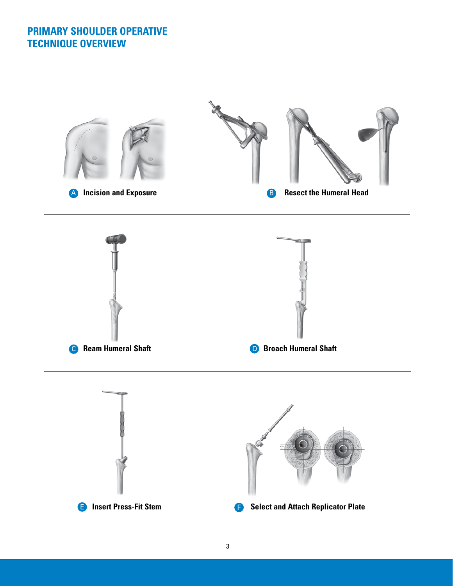# **PRIMARY SHOULDER OPERATIVE TECHNIQUE OVERVIEW**





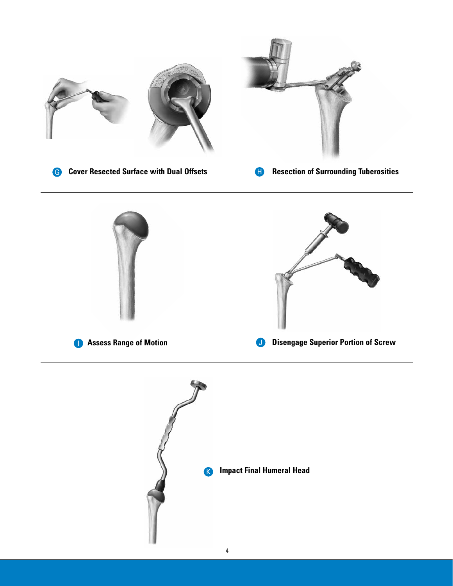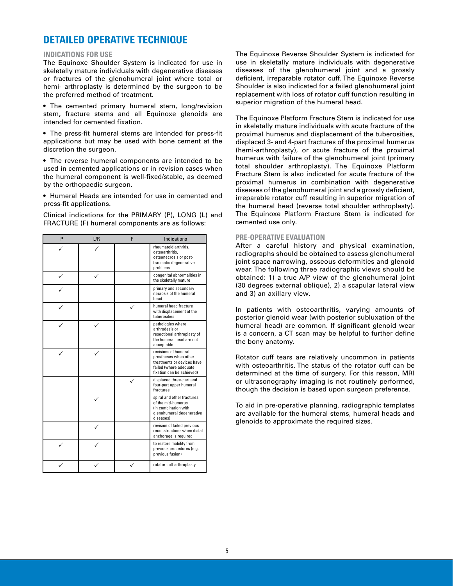## **DETAILED OPERATIVE TECHNIQUE**

#### **INDICATIONS FOR USE**

The Equinoxe Shoulder System is indicated for use in skeletally mature individuals with degenerative diseases or fractures of the glenohumeral joint where total or hemi- arthroplasty is determined by the surgeon to be the preferred method of treatment.

• The cemented primary humeral stem, long/revision stem, fracture stems and all Equinoxe glenoids are intended for cemented fixation.

• The press-fit humeral stems are intended for press-fit applications but may be used with bone cement at the discretion the surgeon.

• The reverse humeral components are intended to be used in cemented applications or in revision cases when the humeral component is well-fixed/stable, as deemed by the orthopaedic surgeon.

• Humeral Heads are intended for use in cemented and press-fit applications.

Clinical indications for the PRIMARY (P), LONG (L) and FRACTURE (F) humeral components are as follows:

| P | L/R | F | Indications                                                                                                                        |
|---|-----|---|------------------------------------------------------------------------------------------------------------------------------------|
|   |     |   | rheumatoid arthritis.<br>osteoarthritis.<br>osteonecrosis or post-<br>traumatic degenerative<br>problems                           |
|   | ✓   |   | congenital abnormalities in<br>the skeletally mature                                                                               |
|   |     |   | primary and secondary<br>necrosis of the humeral<br>head                                                                           |
|   |     |   | humeral head fracture<br>with displacement of the<br>tuberosities                                                                  |
|   |     |   | pathologies where<br>arthrodesis or<br>resectional arthroplasty of<br>the humeral head are not<br>acceptable                       |
|   |     |   | revisions of humeral<br>prostheses when other<br>treatments or devices have<br>failed (where adequate<br>fixation can be achieved) |
|   |     |   | displaced three-part and<br>four-part upper humeral<br>fractures                                                                   |
|   |     |   | spiral and other fractures<br>of the mid-humerus<br>(in combination with<br>glenohumeral degenerative<br>diseases)                 |
|   |     |   | revision of failed previous<br>reconstructions when distal<br>anchorage is required                                                |
|   |     |   | to restore mobility from<br>previous procedures (e.g.<br>previous fusion)                                                          |
|   |     |   | rotator cuff arthroplasty                                                                                                          |

The Equinoxe Reverse Shoulder System is indicated for use in skeletally mature individuals with degenerative diseases of the glenohumeral joint and a grossly deficient, irreparable rotator cuff. The Equinoxe Reverse Shoulder is also indicated for a failed glenohumeral joint replacement with loss of rotator cuff function resulting in superior migration of the humeral head.

The Equinoxe Platform Fracture Stem is indicated for use in skeletally mature individuals with acute fracture of the proximal humerus and displacement of the tuberosities, displaced 3- and 4-part fractures of the proximal humerus (hemi-arthroplasty), or acute fracture of the proximal humerus with failure of the glenohumeral joint (primary total shoulder arthroplasty). The Equinoxe Platform Fracture Stem is also indicated for acute fracture of the proximal humerus in combination with degenerative diseases of the glenohumeral joint and a grossly deficient, irreparable rotator cuff resulting in superior migration of the humeral head (reverse total shoulder arthroplasty). The Equinoxe Platform Fracture Stem is indicated for cemented use only.

#### **PRE-OPERATIVE EVALUATION**

After a careful history and physical examination, radiographs should be obtained to assess glenohumeral joint space narrowing, osseous deformities and glenoid wear. The following three radiographic views should be obtained: 1) a true A/P view of the glenohumeral joint (30 degrees external oblique), 2) a scapular lateral view and 3) an axillary view.

In patients with osteoarthritis, varying amounts of posterior glenoid wear (with posterior subluxation of the humeral head) are common. If significant glenoid wear is a concern, a CT scan may be helpful to further define the bony anatomy.

Rotator cuff tears are relatively uncommon in patients with osteoarthritis. The status of the rotator cuff can be determined at the time of surgery. For this reason, MRI or ultrasonography imaging is not routinely performed, though the decision is based upon surgeon preference.

To aid in pre-operative planning, radiographic templates are available for the humeral stems, humeral heads and glenoids to approximate the required sizes.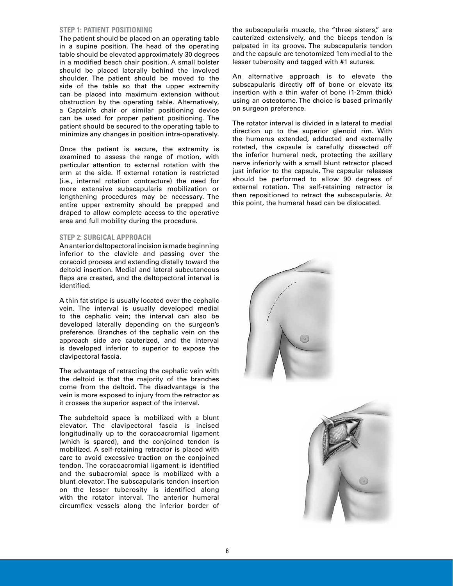#### **STEP 1: PATIENT POSITIONING**

The patient should be placed on an operating table in a supine position. The head of the operating table should be elevated approximately 30 degrees in a modified beach chair position. A small bolster should be placed laterally behind the involved shoulder. The patient should be moved to the side of the table so that the upper extremity can be placed into maximum extension without obstruction by the operating table. Alternatively, a Captain's chair or similar positioning device can be used for proper patient positioning. The patient should be secured to the operating table to minimize any changes in position intra-operatively.

Once the patient is secure, the extremity is examined to assess the range of motion, with particular attention to external rotation with the arm at the side. If external rotation is restricted (i.e., internal rotation contracture) the need for more extensive subscapularis mobilization or lengthening procedures may be necessary. The entire upper extremity should be prepped and draped to allow complete access to the operative area and full mobility during the procedure.

#### **STEP 2: SURGICAL APPROACH**

An anterior deltopectoral incision is made beginning inferior to the clavicle and passing over the coracoid process and extending distally toward the deltoid insertion. Medial and lateral subcutaneous flaps are created, and the deltopectoral interval is identified.

A thin fat stripe is usually located over the cephalic vein. The interval is usually developed medial to the cephalic vein; the interval can also be developed laterally depending on the surgeon's preference. Branches of the cephalic vein on the approach side are cauterized, and the interval is developed inferior to superior to expose the clavipectoral fascia.

The advantage of retracting the cephalic vein with the deltoid is that the majority of the branches come from the deltoid. The disadvantage is the vein is more exposed to injury from the retractor as it crosses the superior aspect of the interval.

The subdeltoid space is mobilized with a blunt elevator. The clavipectoral fascia is incised longitudinally up to the coracoacromial ligament (which is spared), and the conjoined tendon is mobilized. A self-retaining retractor is placed with care to avoid excessive traction on the conjoined tendon. The coracoacromial ligament is identified and the subacromial space is mobilized with a blunt elevator. The subscapularis tendon insertion on the lesser tuberosity is identified along with the rotator interval. The anterior humeral circumflex vessels along the inferior border of

the subscapularis muscle, the "three sisters," are cauterized extensively, and the biceps tendon is palpated in its groove. The subscapularis tendon and the capsule are tenotomized 1cm medial to the lesser tuberosity and tagged with #1 sutures.

An alternative approach is to elevate the subscapularis directly off of bone or elevate its insertion with a thin wafer of bone (1-2mm thick) using an osteotome. The choice is based primarily on surgeon preference.

The rotator interval is divided in a lateral to medial direction up to the superior glenoid rim. With the humerus extended, adducted and externally rotated, the capsule is carefully dissected off the inferior humeral neck, protecting the axillary nerve inferiorly with a small blunt retractor placed just inferior to the capsule. The capsular releases should be performed to allow 90 degress of external rotation. The self-retaining retractor is then repositioned to retract the subscapularis. At this point, the humeral head can be dislocated.



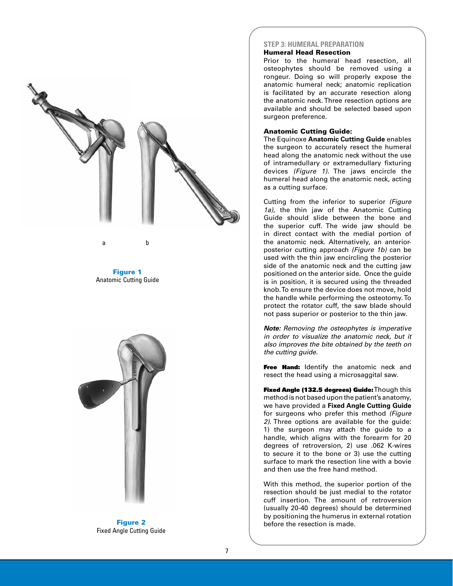

a b

Figure 1 Anatomic Cutting Guide



Figure 2 Fixed Angle Cutting Guide

### **STEP 3: HUMERAL PREPARATION**

### Humeral Head Resection

Prior to the humeral head resection, all osteophytes should be removed using a rongeur. Doing so will properly expose the anatomic humeral neck; anatomic replication is facilitated by an accurate resection along the anatomic neck. Three resection options are available and should be selected based upon surgeon preference.

#### Anatomic Cutting Guide:

The Equinoxe **Anatomic Cutting Guide** enables the surgeon to accurately resect the humeral head along the anatomic neck without the use of intramedullary or extramedullary fixturing devices *(Figure 1)*. The jaws encircle the humeral head along the anatomic neck, acting as a cutting surface.

Cutting from the inferior to superior *(Figure 1a)*, the thin jaw of the Anatomic Cutting Guide should slide between the bone and the superior cuff. The wide jaw should be in direct contact with the medial portion of the anatomic neck. Alternatively, an anteriorposterior cutting approach *(Figure 1b)* can be used with the thin jaw encircling the posterior side of the anatomic neck and the cutting jaw positioned on the anterior side. Once the guide is in position, it is secured using the threaded knob. To ensure the device does not move, hold the handle while performing the osteotomy. To protect the rotator cuff, the saw blade should not pass superior or posterior to the thin jaw.

*Note: Removing the osteophytes is imperative in order to visualize the anatomic neck, but it also improves the bite obtained by the teeth on the cutting guide.*

Free Hand: Identify the anatomic neck and resect the head using a microsaggital saw.

Fixed Angle (132.5 degrees) Guide: Though this method is not based upon the patient's anatomy, we have provided a **Fixed Angle Cutting Guide** for surgeons who prefer this method *(Figure 2)*. Three options are available for the guide: 1) the surgeon may attach the guide to a handle, which aligns with the forearm for 20 degrees of retroversion, 2) use .062 K-wires to secure it to the bone or 3) use the cutting surface to mark the resection line with a bovie and then use the free hand method.

With this method, the superior portion of the resection should be just medial to the rotator cuff insertion. The amount of retroversion (usually 20-40 degrees) should be determined by positioning the humerus in external rotation before the resection is made.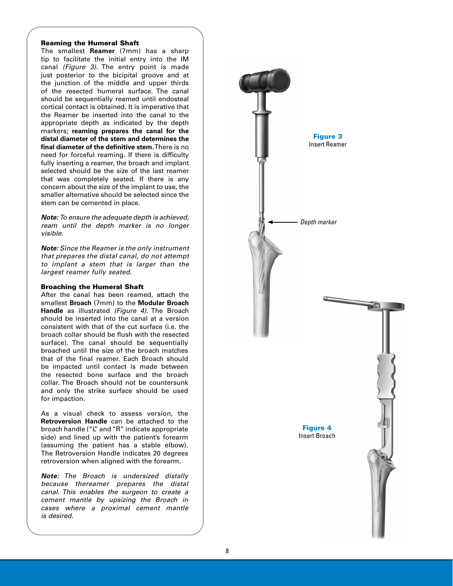#### Reaming the Humeral Shaft

The smallest **Reamer** (7mm) has a sharp tip to facilitate the initial entry into the IM canal *(Figure 3)*. The entry point is made just posterior to the bicipital groove and at the junction of the middle and upper thirds of the resected humeral surface. The canal should be sequentially reamed until endosteal cortical contact is obtained. It is imperative that the Reamer be inserted into the canal to the appropriate depth as indicated by the depth markers; **reaming prepares the canal for the distal diameter of the stem and determines the final diameter of the definitive stem.** There is no need for forceful reaming. If there is difficulty fully inserting a reamer, the broach and implant selected should be the size of the last reamer that was completely seated. If there is any concern about the size of the implant to use, the smaller alternative should be selected since the stem can be cemented in place.

*Note: To ensure the adequate depth is achieved, ream until the depth marker is no longer visible.*

*Note: Since the Reamer is the only instrument that prepares the distal canal, do not attempt to implant a stem that is larger than the largest reamer fully seated.*

#### Broaching the Humeral Shaft

After the canal has been reamed, attach the smallest **Broach** (7mm) to the **Modular Broach Handle** as illustrated *(Figure 4)*. The Broach should be inserted into the canal at a version consistent with that of the cut surface (i.e. the broach collar should be flush with the resected surface). The canal should be sequentially broached until the size of the broach matches that of the final reamer. Each Broach should be impacted until contact is made between the resected bone surface and the broach collar. The Broach should not be countersunk and only the strike surface should be used for impaction.

As a visual check to assess version, the **Retroversion Handle** can be attached to the broach handle ("L" and "R" indicate appropriate side) and lined up with the patient's forearm (assuming the patient has a stable elbow). The Retroversion Handle indicates 20 degrees retroversion when aligned with the forearm.

*Note: The Broach is undersized distally because thereamer prepares the distal canal. This enables the surgeon to create a cement mantle by upsizing the Broach in cases where a proximal cement mantle is desired.*

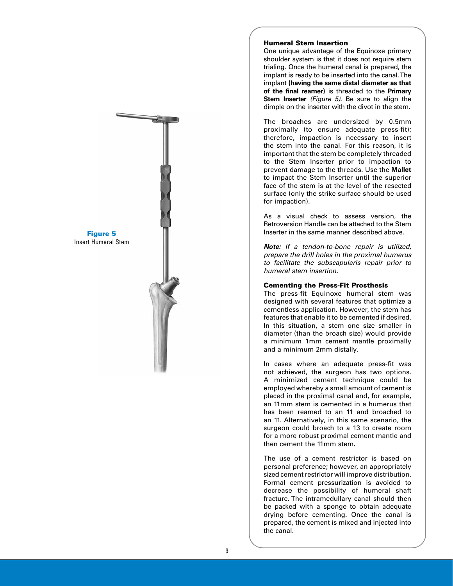

#### Humeral Stem Insertion

One unique advantage of the Equinoxe primary shoulder system is that it does not require stem trialing. Once the humeral canal is prepared, the implant is ready to be inserted into the canal. The implant **(having the same distal diameter as that of the final reamer)** is threaded to the **Primary Stem Inserter** *(Figure 5)*. Be sure to align the dimple on the inserter with the divot in the stem.

The broaches are undersized by 0.5mm proximally (to ensure adequate press-fit); therefore, impaction is necessary to insert the stem into the canal. For this reason, it is important that the stem be completely threaded to the Stem Inserter prior to impaction to prevent damage to the threads. Use the **Mallet**  to impact the Stem Inserter until the superior face of the stem is at the level of the resected surface (only the strike surface should be used for impaction).

As a visual check to assess version, the Retroversion Handle can be attached to the Stem Inserter in the same manner described above.

*Note: If a tendon-to-bone repair is utilized, prepare the drill holes in the proximal humerus to facilitate the subscapularis repair prior to humeral stem insertion.*

#### Cementing the Press-Fit Prosthesis

The press-fit Equinoxe humeral stem was designed with several features that optimize a cementless application. However, the stem has features that enable it to be cemented if desired. In this situation, a stem one size smaller in diameter (than the broach size) would provide a minimum 1mm cement mantle proximally and a minimum 2mm distally.

In cases where an adequate press-fit was not achieved, the surgeon has two options. A minimized cement technique could be employed whereby a small amount of cement is placed in the proximal canal and, for example, an 11mm stem is cemented in a humerus that has been reamed to an 11 and broached to an 11. Alternatively, in this same scenario, the surgeon could broach to a 13 to create room for a more robust proximal cement mantle and then cement the 11mm stem.

The use of a cement restrictor is based on personal preference; however, an appropriately sized cement restrictor will improve distribution. Formal cement pressurization is avoided to decrease the possibility of humeral shaft fracture. The intramedullary canal should then be packed with a sponge to obtain adequate drying before cementing. Once the canal is prepared, the cement is mixed and injected into the canal.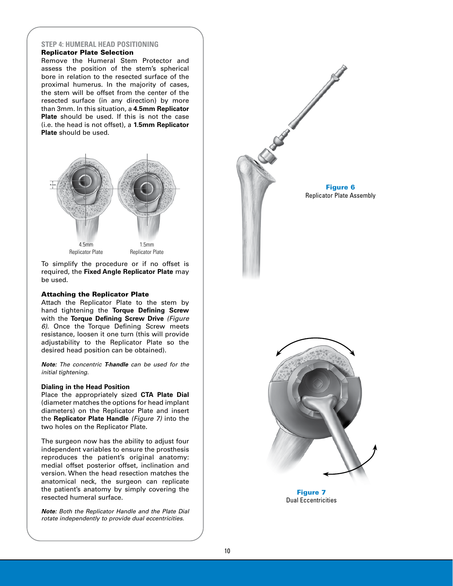#### **STEP 4: HUMERAL HEAD POSITIONING** Replicator Plate Selection

Remove the Humeral Stem Protector and assess the position of the stem's spherical bore in relation to the resected surface of the proximal humerus. In the majority of cases, the stem will be offset from the center of the resected surface (in any direction) by more than 3mm. In this situation, a **4.5mm Replicator Plate** should be used. If this is not the case (i.e. the head is not offset), a **1.5mm Replicator Plate** should be used.



To simplify the procedure or if no offset is required, the **Fixed Angle Replicator Plate** may be used.

#### Attaching the Replicator Plate

Attach the Replicator Plate to the stem by hand tightening the **Torque Defining Screw**  with the **Torque Defining Screw Drive** *(Figure 6)*. Once the Torque Defining Screw meets resistance, loosen it one turn (this will provide adjustability to the Replicator Plate so the desired head position can be obtained).

*Note: The concentric T-handle can be used for the initial tightening.*

#### **Dialing in the Head Position**

Place the appropriately sized **CTA Plate Dial** (diameter matches the options for head implant diameters) on the Replicator Plate and insert the **Replicator Plate Handle** *(Figure 7)* into the two holes on the Replicator Plate.

The surgeon now has the ability to adjust four independent variables to ensure the prosthesis reproduces the patient's original anatomy: medial offset posterior offset, inclination and version. When the head resection matches the anatomical neck, the surgeon can replicate the patient's anatomy by simply covering the resected humeral surface.

*Note: Both the Replicator Handle and the Plate Dial rotate independently to provide dual eccentricities.*





Figure 7 Dual Eccentricities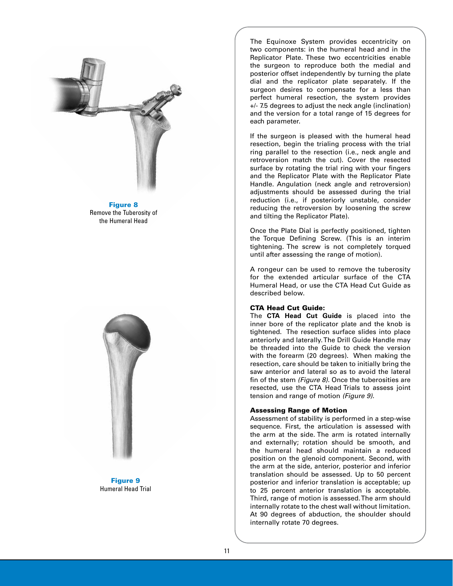

Figure 8 Remove the Tuberosity of the Humeral Head



Figure 9 Humeral Head Trial

The Equinoxe System provides eccentricity on two components: in the humeral head and in the Replicator Plate. These two eccentricities enable the surgeon to reproduce both the medial and posterior offset independently by turning the plate dial and the replicator plate separately. If the surgeon desires to compensate for a less than perfect humeral resection, the system provides +/- 7.5 degrees to adjust the neck angle (inclination) and the version for a total range of 15 degrees for each parameter.

If the surgeon is pleased with the humeral head resection, begin the trialing process with the trial ring parallel to the resection (i.e., neck angle and retroversion match the cut). Cover the resected surface by rotating the trial ring with your fingers and the Replicator Plate with the Replicator Plate Handle. Angulation (neck angle and retroversion) adjustments should be assessed during the trial reduction (i.e., if posteriorly unstable, consider reducing the retroversion by loosening the screw and tilting the Replicator Plate).

Once the Plate Dial is perfectly positioned, tighten the Torque Defining Screw. (This is an interim tightening. The screw is not completely torqued until after assessing the range of motion).

A rongeur can be used to remove the tuberosity for the extended articular surface of the CTA Humeral Head, or use the CTA Head Cut Guide as described below.

#### CTA Head Cut Guide:

The **CTA Head Cut Guide** is placed into the inner bore of the replicator plate and the knob is tightened. The resection surface slides into place anteriorly and laterally. The Drill Guide Handle may be threaded into the Guide to check the version with the forearm (20 degrees). When making the resection, care should be taken to initially bring the saw anterior and lateral so as to avoid the lateral fin of the stem *(Figure 8).* Once the tuberosities are resected, use the CTA Head Trials to assess joint tension and range of motion *(Figure 9).*

#### Assessing Range of Motion

Assessment of stability is performed in a step-wise sequence. First, the articulation is assessed with the arm at the side. The arm is rotated internally and externally; rotation should be smooth, and the humeral head should maintain a reduced position on the glenoid component. Second, with the arm at the side, anterior, posterior and inferior translation should be assessed. Up to 50 percent posterior and inferior translation is acceptable; up to 25 percent anterior translation is acceptable. Third, range of motion is assessed. The arm should internally rotate to the chest wall without limitation. At 90 degrees of abduction, the shoulder should internally rotate 70 degrees.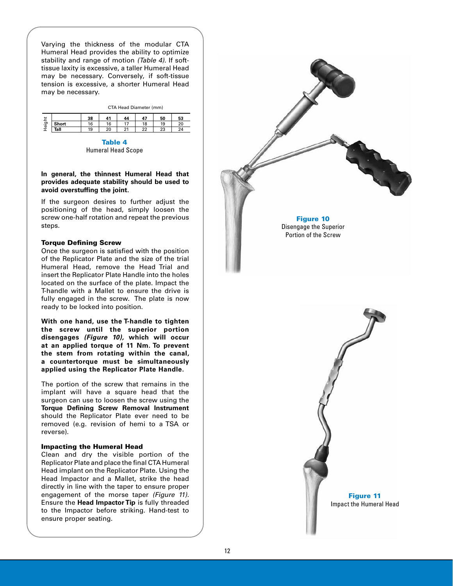Varying the thickness of the modular CTA Humeral Head provides the ability to optimize stability and range of motion *(Table 4).* If softtissue laxity is excessive, a taller Humeral Head may be necessary. Conversely, if soft-tissue tension is excessive, a shorter Humeral Head may be necessary.

|        |       |    |    | CTA Head Diameter (mm) |    |    |    |
|--------|-------|----|----|------------------------|----|----|----|
|        |       | 38 | 41 | 44                     | 47 | 50 | 53 |
| Height | Short | 16 | 16 | 17                     | 18 | 19 | 20 |
|        | Tall  | 19 | 20 | 21                     | າາ | 23 | 24 |

Table 4 Humeral Head Scope

**In general, the thinnest Humeral Head that provides adequate stability should be used to avoid overstuffing the joint.**

If the surgeon desires to further adjust the positioning of the head, simply loosen the screw one-half rotation and repeat the previous steps.

#### Torque Defining Screw

Once the surgeon is satisfied with the position of the Replicator Plate and the size of the trial Humeral Head, remove the Head Trial and insert the Replicator Plate Handle into the holes located on the surface of the plate. Impact the T-handle with a Mallet to ensure the drive is fully engaged in the screw. The plate is now ready to be locked into position.

**With one hand, use the T-handle to tighten the screw until the superior portion disengages** *(Figure 10),* **which will occur at an applied torque of 11 Nm. To prevent the stem from rotating within the canal, a countertorque must be simultaneously applied using the Replicator Plate Handle.**

The portion of the screw that remains in the implant will have a square head that the surgeon can use to loosen the screw using the **Torque Defining Screw Removal Instrument** should the Replicator Plate ever need to be removed (e.g. revision of hemi to a TSA or reverse).

#### Impacting the Humeral Head

Clean and dry the visible portion of the Replicator Plate and place the final CTA Humeral Head implant on the Replicator Plate. Using the Head Impactor and a Mallet, strike the head directly in line with the taper to ensure proper engagement of the morse taper *(Figure 11).*  Ensure the **Head Impactor Tip** is fully threaded to the Impactor before striking. Hand-test to ensure proper seating.

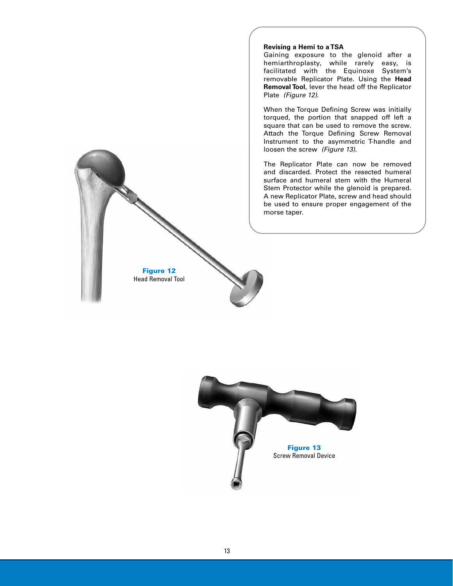#### **Revising a Hemi to a TSA**

Gaining exposure to the glenoid after a hemiarthroplasty, while rarely easy, is facilitated with the Equinoxe System's removable Replicator Plate. Using the **Head Removal Tool**, lever the head off the Replicator Plate *(Figure 12)*.

When the Torque Defining Screw was initially torqued, the portion that snapped off left a square that can be used to remove the screw. Attach the Torque Defining Screw Removal Instrument to the asymmetric T-handle and loosen the screw *(Figure 13)*.

The Replicator Plate can now be removed and discarded. Protect the resected humeral surface and humeral stem with the Humeral Stem Protector while the glenoid is prepared. A new Replicator Plate, screw and head should be used to ensure proper engagement of the morse taper.

Figure 12 Head Removal Tool

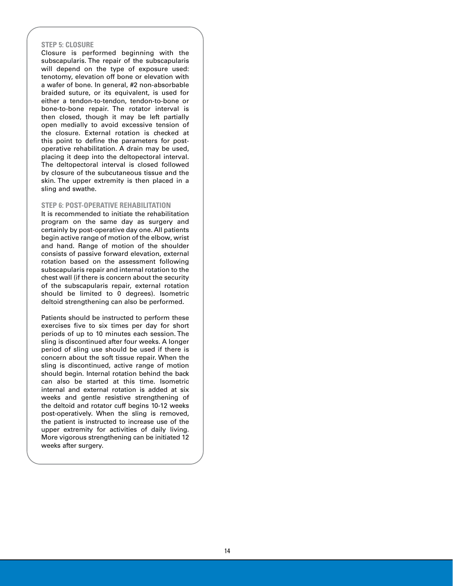#### **STEP 5: CLOSURE**

Closure is performed beginning with the subscapularis. The repair of the subscapularis will depend on the type of exposure used: tenotomy, elevation off bone or elevation with a wafer of bone. In general, #2 non-absorbable braided suture, or its equivalent, is used for either a tendon-to-tendon, tendon-to-bone or bone-to-bone repair. The rotator interval is then closed, though it may be left partially open medially to avoid excessive tension of the closure. External rotation is checked at this point to define the parameters for postoperative rehabilitation. A drain may be used, placing it deep into the deltopectoral interval. The deltopectoral interval is closed followed by closure of the subcutaneous tissue and the skin. The upper extremity is then placed in a sling and swathe.

#### **STEP 6: POST-OPERATIVE REHABILITATION**

It is recommended to initiate the rehabilitation program on the same day as surgery and certainly by post-operative day one. All patients begin active range of motion of the elbow, wrist and hand. Range of motion of the shoulder consists of passive forward elevation, external rotation based on the assessment following subscapularis repair and internal rotation to the chest wall (if there is concern about the security of the subscapularis repair, external rotation should be limited to 0 degrees). Isometric deltoid strengthening can also be performed.

Patients should be instructed to perform these exercises five to six times per day for short periods of up to 10 minutes each session. The sling is discontinued after four weeks. A longer period of sling use should be used if there is concern about the soft tissue repair. When the sling is discontinued, active range of motion should begin. Internal rotation behind the back can also be started at this time. Isometric internal and external rotation is added at six weeks and gentle resistive strengthening of the deltoid and rotator cuff begins 10-12 weeks post-operatively. When the sling is removed, the patient is instructed to increase use of the upper extremity for activities of daily living. More vigorous strengthening can be initiated 12 weeks after surgery.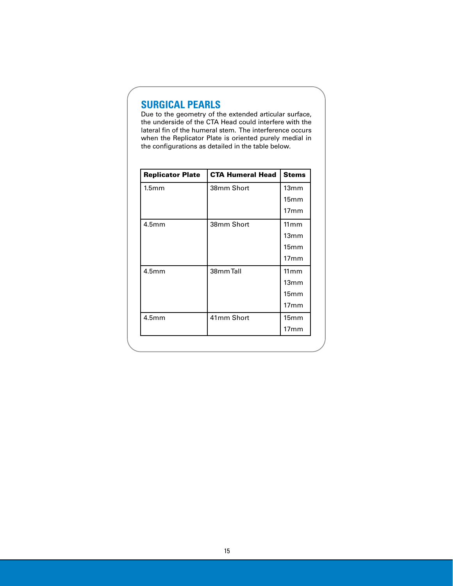# **SURGICAL PEARLS**

Due to the geometry of the extended articular surface, the underside of the CTA Head could interfere with the lateral fin of the humeral stem. The interference occurs when the Replicator Plate is oriented purely medial in the configurations as detailed in the table below.

| <b>Replicator Plate</b> | <b>CTA Humeral Head</b> | <b>Stems</b>     |
|-------------------------|-------------------------|------------------|
| 1.5 <sub>mm</sub>       | 38mm Short              | 13mm             |
|                         |                         | 15mm             |
|                         |                         | 17 <sub>mm</sub> |
| 4.5 <sub>mm</sub>       | 38mm Short              | 11mm             |
|                         |                         | 13mm             |
|                         |                         | 15mm             |
|                         |                         | 17 <sub>mm</sub> |
| 4.5 <sub>mm</sub>       | 38mm Tall               | 11mm             |
|                         |                         | 13mm             |
|                         |                         | 15mm             |
|                         |                         | 17 <sub>mm</sub> |
| 4.5 <sub>mm</sub>       | 41mm Short              | 15mm             |
|                         |                         | 17 <sub>mm</sub> |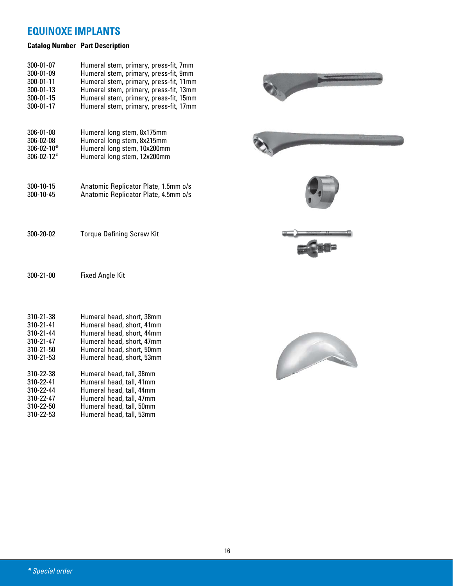# **EQUINOXE IMPLANTS**

### **Catalog Number Part Description**

| 300-01-07       | Humeral stem, primary, press-fit, 7mm  |
|-----------------|----------------------------------------|
| $300 - 01 - 09$ | Humeral stem, primary, press-fit, 9mm  |
| $300 - 01 - 11$ | Humeral stem, primary, press-fit, 11mm |
| $300 - 01 - 13$ | Humeral stem, primary, press-fit, 13mm |
| $300 - 01 - 15$ | Humeral stem, primary, press-fit, 15mm |
| $300 - 01 - 17$ | Humeral stem, primary, press-fit, 17mm |
|                 |                                        |

| $306 - 01 - 08$  | Humeral long stem, 8x175mm  |
|------------------|-----------------------------|
| $306 - 02 - 08$  | Humeral long stem, 8x215mm  |
| $306 - 02 - 10*$ | Humeral long stem, 10x200mm |
| $306 - 02 - 12*$ | Humeral long stem, 12x200mm |

300-20-02 Torque Defining Screw Kit

| $300 - 10 - 15$ | Anatomic Replicator Plate, 1.5mm o/s |  |
|-----------------|--------------------------------------|--|
| 300-10-45       | Anatomic Replicator Plate, 4.5mm o/s |  |



300-21-00 Fixed Angle Kit

| 310-21-38 | Humeral head, short, 38mm |
|-----------|---------------------------|
| 310-21-41 | Humeral head, short, 41mm |
| 310-21-44 | Humeral head, short, 44mm |
| 310-21-47 | Humeral head, short, 47mm |
| 310-21-50 | Humeral head, short, 50mm |
| 310-21-53 | Humeral head, short, 53mm |
|           |                           |
| 310-22-38 | Humeral head, tall, 38mm  |
| 310-22-41 | Humeral head, tall, 41mm  |
| 310-22-44 | Humeral head, tall, 44mm  |
| 310-22-47 | Humeral head, tall, 47mm  |
| 310-22-50 | Humeral head, tall, 50mm  |
| 310-22-53 | Humeral head, tall, 53mm  |
|           |                           |

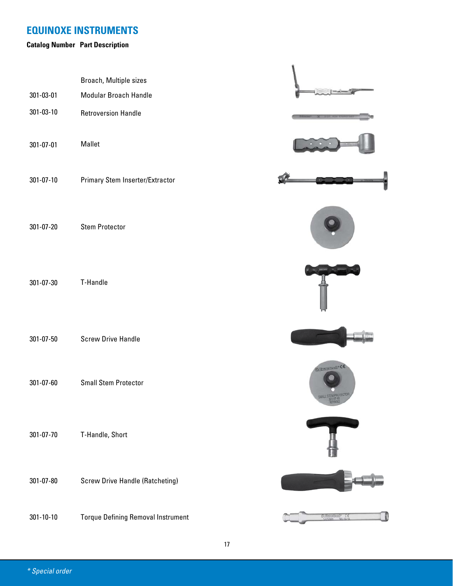# **EQUINOXE INSTRUMENTS**

### **Catalog Number Part Description**

|                 | Broach, Multiple sizes                    |                   |
|-----------------|-------------------------------------------|-------------------|
| 301-03-01       | <b>Modular Broach Handle</b>              |                   |
| 301-03-10       | <b>Retroversion Handle</b>                |                   |
| 301-07-01       | Mallet                                    |                   |
| 301-07-10       | Primary Stem Inserter/Extractor           |                   |
| 301-07-20       | <b>Stem Protector</b>                     |                   |
| 301-07-30       | T-Handle                                  |                   |
| 301-07-50       | <b>Screw Drive Handle</b>                 |                   |
| 301-07-60       | <b>Small Stem Protector</b>               | <b>BERNSON CE</b> |
| 301-07-70       | T-Handle, Short                           |                   |
| 301-07-80       | <b>Screw Drive Handle (Ratcheting)</b>    |                   |
| $301 - 10 - 10$ | <b>Torque Defining Removal Instrument</b> |                   |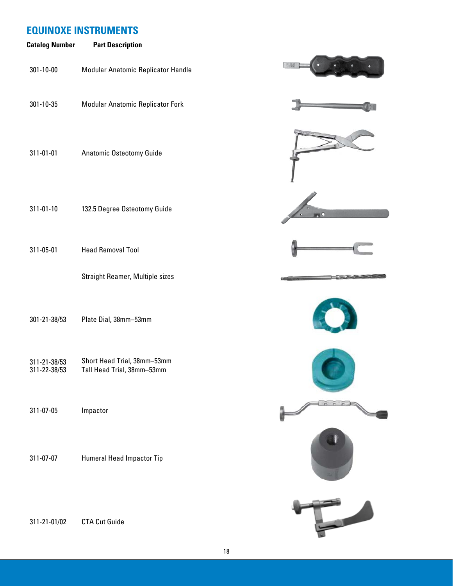### **EQUINOXE INSTRUMENTS**

| <b>Catalog Number</b>        | <b>Part Description</b>                                   |  |
|------------------------------|-----------------------------------------------------------|--|
| 301-10-00                    | Modular Anatomic Replicator Handle                        |  |
| 301-10-35                    | <b>Modular Anatomic Replicator Fork</b>                   |  |
| 311-01-01                    | Anatomic Osteotomy Guide                                  |  |
| $311 - 01 - 10$              | 132.5 Degree Osteotomy Guide                              |  |
| 311-05-01                    | <b>Head Removal Tool</b>                                  |  |
|                              | Straight Reamer, Multiple sizes                           |  |
| 301-21-38/53                 | Plate Dial, 38mm-53mm                                     |  |
| 311-21-38/53<br>311-22-38/53 | Short Head Trial, 38mm-53mm<br>Tall Head Trial, 38mm-53mm |  |
| 311-07-05                    | Impactor                                                  |  |
| 311-07-07                    | Humeral Head Impactor Tip                                 |  |
| 311-21-01/02                 | <b>CTA Cut Guide</b>                                      |  |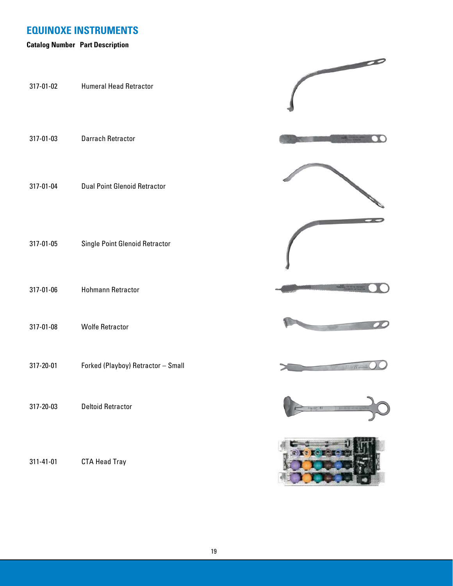# **EQUINOXE INSTRUMENTS**

### **Catalog Number Part Description**

| 317-01-02 | <b>Humeral Head Retractor</b>       |    |
|-----------|-------------------------------------|----|
| 317-01-03 | <b>Darrach Retractor</b>            |    |
| 317-01-04 | <b>Dual Point Glenoid Retractor</b> |    |
| 317-01-05 | Single Point Glenoid Retractor      |    |
| 317-01-06 | <b>Hohmann Retractor</b>            |    |
| 317-01-08 | <b>Wolfe Retractor</b>              |    |
| 317-20-01 | Forked (Playboy) Retractor - Small  |    |
| 317-20-03 | <b>Deltoid Retractor</b>            | cc |
| 311-41-01 | <b>CTA Head Tray</b>                |    |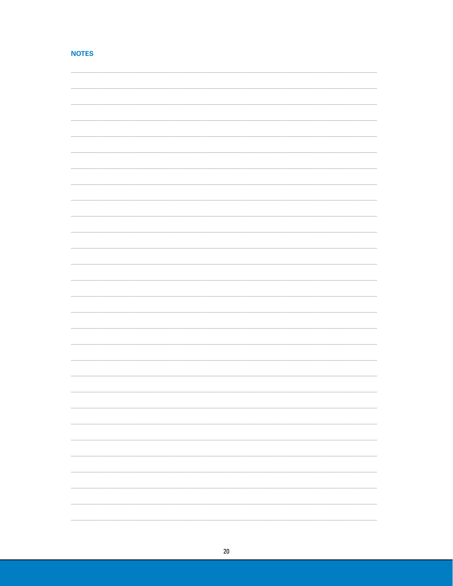### **NOTES**

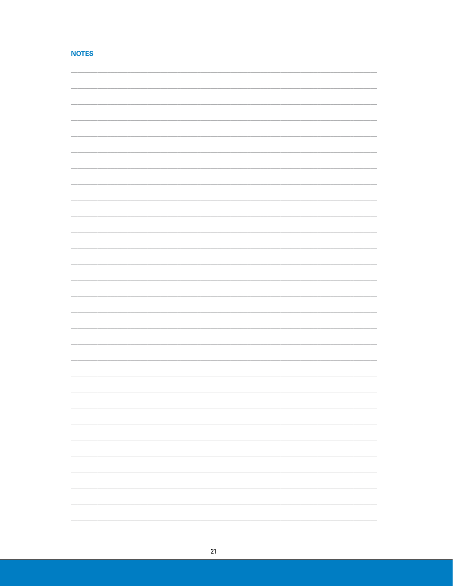#### **NOTES**